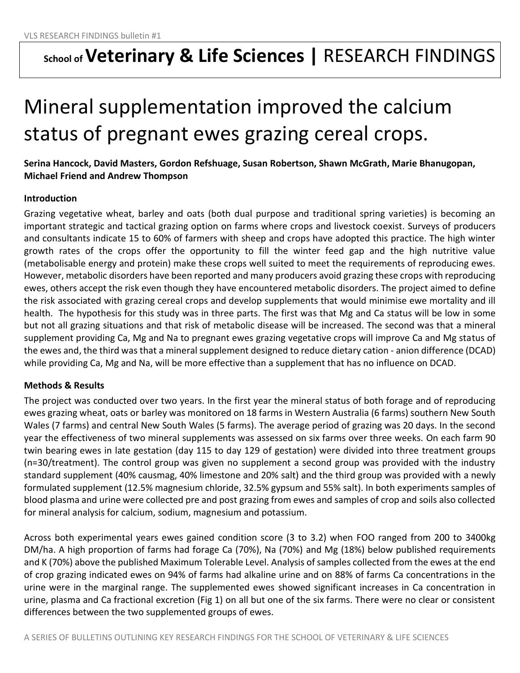## **School of Veterinary & Life Sciences |** RESEARCH FINDINGS

# Mineral supplementation improved the calcium status of pregnant ewes grazing cereal crops.

### **Serina Hancock, David Masters, Gordon Refshuage, Susan Robertson, Shawn McGrath, Marie Bhanugopan, Michael Friend and Andrew Thompson**

#### **Introduction**

Grazing vegetative wheat, barley and oats (both dual purpose and traditional spring varieties) is becoming an important strategic and tactical grazing option on farms where crops and livestock coexist. Surveys of producers and consultants indicate 15 to 60% of farmers with sheep and crops have adopted this practice. The high winter growth rates of the crops offer the opportunity to fill the winter feed gap and the high nutritive value (metabolisable energy and protein) make these crops well suited to meet the requirements of reproducing ewes. However, metabolic disorders have been reported and many producers avoid grazing these crops with reproducing ewes, others accept the risk even though they have encountered metabolic disorders. The project aimed to define the risk associated with grazing cereal crops and develop supplements that would minimise ewe mortality and ill health. The hypothesis for this study was in three parts. The first was that Mg and Ca status will be low in some but not all grazing situations and that risk of metabolic disease will be increased. The second was that a mineral supplement providing Ca, Mg and Na to pregnant ewes grazing vegetative crops will improve Ca and Mg status of the ewes and, the third was that a mineral supplement designed to reduce dietary cation - anion difference (DCAD) while providing Ca, Mg and Na, will be more effective than a supplement that has no influence on DCAD.

#### **Methods & Results**

The project was conducted over two years. In the first year the mineral status of both forage and of reproducing ewes grazing wheat, oats or barley was monitored on 18 farms in Western Australia (6 farms) southern New South Wales (7 farms) and central New South Wales (5 farms). The average period of grazing was 20 days. In the second year the effectiveness of two mineral supplements was assessed on six farms over three weeks. On each farm 90 twin bearing ewes in late gestation (day 115 to day 129 of gestation) were divided into three treatment groups (n=30/treatment). The control group was given no supplement a second group was provided with the industry standard supplement (40% causmag, 40% limestone and 20% salt) and the third group was provided with a newly formulated supplement (12.5% magnesium chloride, 32.5% gypsum and 55% salt). In both experiments samples of blood plasma and urine were collected pre and post grazing from ewes and samples of crop and soils also collected for mineral analysis for calcium, sodium, magnesium and potassium.

Across both experimental years ewes gained condition score (3 to 3.2) when FOO ranged from 200 to 3400kg DM/ha. A high proportion of farms had forage Ca (70%), Na (70%) and Mg (18%) below published requirements and K (70%) above the published Maximum Tolerable Level. Analysis of samples collected from the ewes at the end of crop grazing indicated ewes on 94% of farms had alkaline urine and on 88% of farms Ca concentrations in the urine were in the marginal range. The supplemented ewes showed significant increases in Ca concentration in urine, plasma and Ca fractional excretion (Fig 1) on all but one of the six farms. There were no clear or consistent differences between the two supplemented groups of ewes.